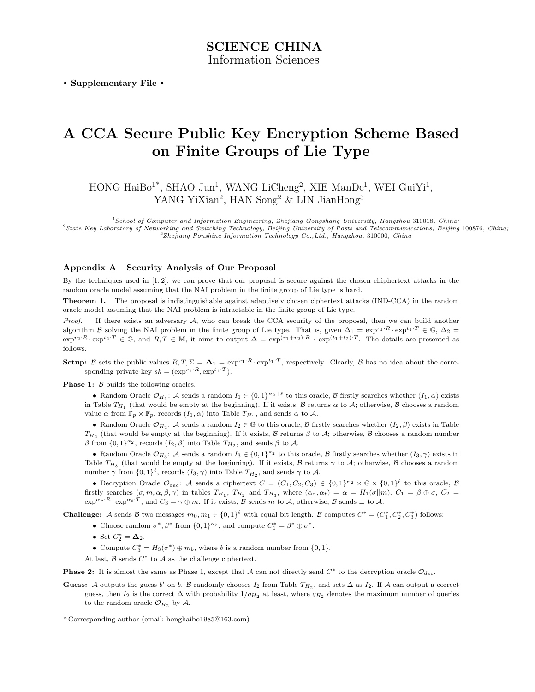. Supplementary File .

## A CCA Secure Public Key Encryption Scheme Based on Finite Groups of Lie Type

HONG HaiBo<sup>1\*</sup>, SHAO Jun<sup>1</sup>, WANG LiCheng<sup>2</sup>, XIE ManDe<sup>1</sup>, WEI GuiYi<sup>1</sup>, YANG YiXian<sup>2</sup>, HAN Song<sup>2</sup> & LIN JianHong<sup>3</sup>

<sup>1</sup>School of Computer and Information Engineering, Zhejiang Gongshang University, Hangzhou 310018, China;

<sup>2</sup>State Key Laboratory of Networking and Switching Technology, Beijing University of Posts and Telecommunications, Beijing 100876, China; <sup>3</sup>Zhejiang Ponshine Information Technology Co.,Ltd., Hangzhou, 310000, China

## Appendix A Security Analysis of Our Proposal

By the techniques used in [\[1,](#page-1-0) [2\]](#page-1-1), we can prove that our proposal is secure against the chosen chiphertext attacks in the random oracle model assuming that the NAI problem in the finite group of Lie type is hard.

Theorem 1. The proposal is indistinguishable against adaptively chosen ciphertext attacks (IND-CCA) in the random oracle model assuming that the NAI problem is intractable in the finite group of Lie type.

*Proof.* If there exists an adversary  $A$ , who can break the CCA security of the proposal, then we can build another algorithm B solving the NAI problem in the finite group of Lie type. That is, given  $\Delta_1 = \exp^{r_1 \cdot R} \cdot \exp^{t_1 \cdot T} \in \mathbb{G}$ ,  $\Delta_2 =$  $\exp^{r_2 \cdot R} \cdot \exp^{t_2 \cdot T} \in \mathbb{G}$ , and  $R, T \in \mathbb{M}$ , it aims to output  $\Delta = \exp^{(r_1+r_2) \cdot R} \cdot \exp^{(t_1+t_2) \cdot T}$ . The details are presented as follows.

**Setup:** B sets the public values  $R, T, \Sigma = \Delta_1 = \exp^{r_1 \cdot R} \cdot \exp^{t_1 \cdot T}$ , respectively. Clearly, B has no idea about the corresponding private key  $sk = (\exp^{r_1 \cdot R}, \exp^{t_1 \cdot T}).$ 

**Phase 1:**  $\beta$  builds the following oracles.

• Random Oracle  $\mathcal{O}_{H_1}$ : A sends a random  $I_1 \in \{0,1\}^{\kappa_2+\ell}$  to this oracle, B firstly searches whether  $(I_1,\alpha)$  exists in Table  $T_{H_1}$  (that would be empty at the beginning). If it exists,  $B$  returns  $\alpha$  to  $A$ ; otherwise,  $B$  chooses a random value  $\alpha$  from  $\mathbb{F}_p \times \mathbb{F}_p$ , records  $(I_1, \alpha)$  into Table  $T_{H_1}$ , and sends  $\alpha$  to  $\mathcal{A}$ .

• Random Oracle  $\mathcal{O}_{H_2}$ : A sends a random  $I_2 \in \mathbb{G}$  to this oracle, B firstly searches whether  $(I_2, \beta)$  exists in Table  $T_{H_2}$  (that would be empty at the beginning). If it exists,  $\beta$  returns  $\beta$  to  $\mathcal{A}$ ; otherwise,  $\beta$  chooses a random number  $\beta$  from  $\{0,1\}^{\kappa_2}$ , records  $(I_2, \beta)$  into Table  $T_{H_2}$ , and sends  $\beta$  to A.

• Random Oracle  $\mathcal{O}_{H_3}$ : A sends a random  $I_3 \in \{0,1\}^{\kappa_2}$  to this oracle, B firstly searches whether  $(I_3, \gamma)$  exists in Table  $T_{H_3}$  (that would be empty at the beginning). If it exists, B returns  $\gamma$  to  $\mathcal{A}$ ; otherwise, B chooses a random number  $\gamma$  from  $\{0,1\}^{\ell}$ , records  $(I_3, \gamma)$  into Table  $T_{H_2}$ , and sends  $\gamma$  to A.

• Decryption Oracle  $\mathcal{O}_{dec}$ : A sends a ciphertext  $C = (C_1, C_2, C_3) \in \{0,1\}^{\kappa_2} \times \mathbb{G} \times \{0,1\}^{\ell}$  to this oracle,  $\mathcal{B}$ firstly searches  $(\sigma, m, \alpha, \beta, \gamma)$  in tables  $T_{H_1}$ ,  $T_{H_2}$  and  $T_{H_3}$ , where  $(\alpha_r, \alpha_t) = \alpha = H_1(\sigma || m)$ ,  $C_1 = \beta \oplus \sigma$ ,  $C_2 =$  $\exp^{\alpha_r \cdot R} \cdot \exp^{\alpha_t \cdot T}$ , and  $C_3 = \gamma \oplus m$ . If it exists,  $\tilde{\mathcal{B}}$  sends m to A; otherwise,  $\mathcal{B}$  sends  $\perp$  to A.

**Challenge:** A sends B two messages  $m_0, m_1 \in \{0, 1\}^{\ell}$  with equal bit length. B computes  $C^* = (C_1^*, C_2^*, C_3^*)$  follows:

- Choose random  $\sigma^*, \beta^*$  from  $\{0,1\}^{\kappa_2}$ , and compute  $C_1^* = \beta^* \oplus \sigma^*$ .
- Set  $C_2^* = \mathbf{\Delta}_2$ .

• Compute  $C_3^* = H_3(\sigma^*) \oplus m_b$ , where b is a random number from  $\{0, 1\}$ .

At last,  $\beta$  sends  $C^*$  to  $\mathcal A$  as the challenge ciphertext.

**Phase 2:** It is almost the same as Phase 1, except that A can not directly send  $C^*$  to the decryption oracle  $\mathcal{O}_{dec}$ .

Guess: A outputs the guess b' on b. B randomly chooses  $I_2$  from Table  $T_{H_2}$ , and sets  $\Delta$  as  $I_2$ . If A can output a correct guess, then  $I_2$  is the correct  $\Delta$  with probability  $1/q_{H_2}$  at least, where  $q_{H_2}$  denotes the maximum number of queries to the random oracle  $\mathcal{O}_{H_2}$  by  $\mathcal{A}$ .

<sup>\*</sup> Corresponding author (email: honghaibo1985@163.com)